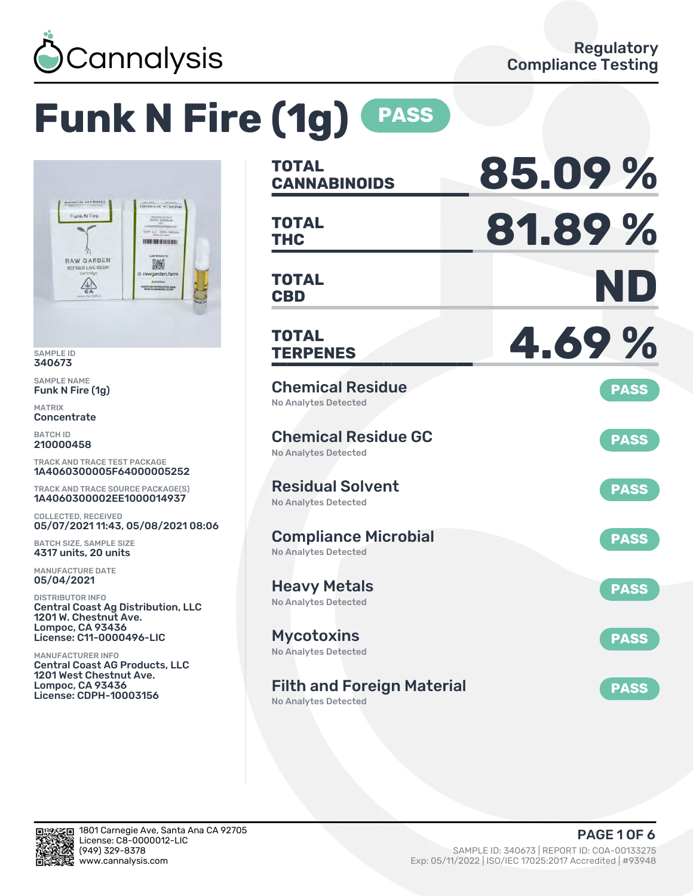

# **Funk N Fire (1g) PASS**



SAMPLE ID 340673

SAMPLE NAME Funk N Fire (1g)

MATRIX **Concentrate** 

BATCH ID 210000458

TRACK AND TRACE TEST PACKAGE 1A4060300005F64000005252

TRACK AND TRACE SOURCE PACKAGE(S) 1A4060300002EE1000014937

COLLECTED, RECEIVED 05/07/2021 11:43, 05/08/2021 08:06

BATCH SIZE, SAMPLE SIZE 4317 units, 20 units

MANUFACTURE DATE 05/04/2021

DISTRIBUTOR INFO Central Coast Ag Distribution, LLC 1201 W. Chestnut Ave. Lompoc, CA 93436 License: C11-0000496-LIC

MANUFACTURER INFO Central Coast AG Products, LLC 1201 West Chestnut Ave. Lompoc, CA 93436 License: CDPH-10003156

| <b>TOTAL</b><br><b>CANNABINOIDS</b>                        | 85.09%      |
|------------------------------------------------------------|-------------|
| <b>TOTAL</b><br><b>THC</b>                                 | 81.89%      |
| <b>TOTAL</b><br><b>CBD</b>                                 | ND          |
| <b>TOTAL</b><br><b>TERPENES</b>                            | 4.69%       |
| <b>Chemical Residue</b><br><b>No Analytes Detected</b>     | <b>PASS</b> |
| <b>Chemical Residue GC</b><br><b>No Analytes Detected</b>  | <b>PASS</b> |
| <b>Residual Solvent</b><br><b>No Analytes Detected</b>     | <b>PASS</b> |
| <b>Compliance Microbial</b><br><b>No Analytes Detected</b> | <b>PASS</b> |
| <b>Heavy Metals</b><br><b>No Analytes Detected</b>         | <b>PASS</b> |
| <b>Mycotoxins</b><br><b>No Analytes Detected</b>           | <b>PASS</b> |
| <b>Filth and Foreign Material</b>                          | <b>PASS</b> |

No Analytes Detected

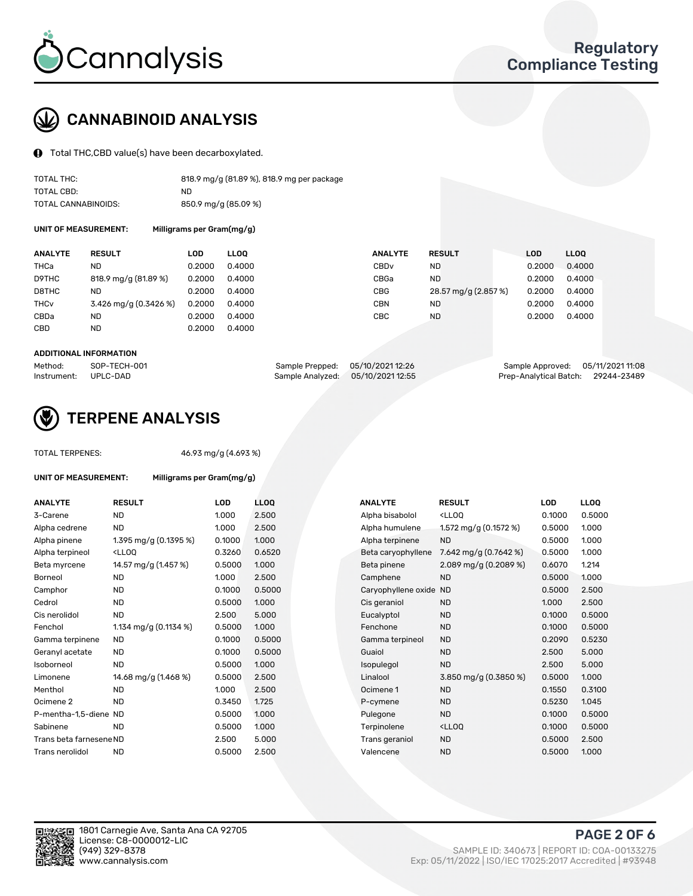

## CANNABINOID ANALYSIS

Total THC,CBD value(s) have been decarboxylated.

| TOTAL THC:          | 818.9 mg/g (81.89 %), 818.9 mg per package |
|---------------------|--------------------------------------------|
| TOTAL CBD:          | ND.                                        |
| TOTAL CANNABINOIDS: | 850.9 mg/g (85.09 %)                       |

UNIT OF MEASUREMENT:

| Milligrams per Gram(mg/g) |  |  |
|---------------------------|--|--|
|---------------------------|--|--|

| <b>ANALYTE</b>         | <b>RESULT</b>           | LOD    | <b>LLOO</b> | <b>ANALYTE</b>   | <b>RESULT</b>        | <b>LOD</b> | <b>LLOO</b> |
|------------------------|-------------------------|--------|-------------|------------------|----------------------|------------|-------------|
| THCa                   | ND                      | 0.2000 | 0.4000      | CBD <sub>v</sub> | ND                   | 0.2000     | 0.4000      |
| D9THC                  | 818.9 mg/g (81.89 %)    | 0.2000 | 0.4000      | CBGa             | <b>ND</b>            | 0.2000     | 0.4000      |
| D8THC                  | <b>ND</b>               | 0.2000 | 0.4000      | <b>CBG</b>       | 28.57 mg/g (2.857 %) | 0.2000     | 0.4000      |
| <b>THC<sub>v</sub></b> | $3.426$ mg/g (0.3426 %) | 0.2000 | 0.4000      | CBN              | <b>ND</b>            | 0.2000     | 0.4000      |
| CBDa                   | ND                      | 0.2000 | 0.4000      | CBC              | <b>ND</b>            | 0.2000     | 0.4000      |
| <b>CBD</b>             | <b>ND</b>               | 0.2000 | 0.4000      |                  |                      |            |             |
|                        |                         |        |             |                  |                      |            |             |

#### ADDITIONAL INFORMATION

| Method:              | SOP-TECH-001 | Sample Prepped: 05/10/2021 12:26  | Sample Approved: 05/11/2021 11:08  |  |
|----------------------|--------------|-----------------------------------|------------------------------------|--|
| Instrument: UPLC-DAD |              | Sample Analyzed: 05/10/2021 12:55 | Prep-Analytical Batch: 29244-23489 |  |



## TERPENE ANALYSIS

| <b>TOTAL TERPENES:</b>      |                                                   | 46.93 mg/g (4.693 %) |      |  |  |  |  |
|-----------------------------|---------------------------------------------------|----------------------|------|--|--|--|--|
| <b>UNIT OF MEASUREMENT:</b> | Milligrams per Gram(mg/g)                         |                      |      |  |  |  |  |
| <b>ANALYTE</b>              | <b>RESULT</b>                                     | LOD                  | LLO  |  |  |  |  |
| 3-Carene                    | <b>ND</b>                                         | 1.000                | 2.5( |  |  |  |  |
| Alpha cedrene               | <b>ND</b>                                         | 1.000                | 2.5( |  |  |  |  |
| Alpha pinene                | 1.395 mg/g $(0.1395\%)$                           | 0.1000               | 1.00 |  |  |  |  |
| Alpha terpineol             | <lloo< td=""><td>0.3260</td><td>0.65</td></lloo<> | 0.3260               | 0.65 |  |  |  |  |
| Beta myrcene                | 14.57 mg/g (1.457 %)                              | 0.5000               | 1.00 |  |  |  |  |
| Borneol                     | <b>ND</b>                                         | 1.000                | 2.50 |  |  |  |  |
| Camphor                     | <b>ND</b>                                         | 0.1000               | 0.5( |  |  |  |  |
| Cedrol                      | <b>ND</b>                                         | 0.5000               | 1.00 |  |  |  |  |
| Cis nerolidol               | ND.                                               | 2.500                | 5.0( |  |  |  |  |
| Fenchol                     | 1.134 mg/g (0.1134 %)                             | 0.5000               | 1.00 |  |  |  |  |
| Gamma terpinene             | <b>ND</b>                                         | 0.1000               | 0.5( |  |  |  |  |
| Geranyl acetate             | <b>ND</b>                                         | 0.1000               | 0.5( |  |  |  |  |
| Isoborneol                  | <b>ND</b>                                         | 0.5000               | 1.00 |  |  |  |  |
| Limonene                    | 14.68 mg/g (1.468 %)                              | 0.5000               | 2.5( |  |  |  |  |
| Menthol                     | <b>ND</b>                                         | 1.000                | 2.5( |  |  |  |  |
| Ocimene 2                   | <b>ND</b>                                         | 0.3450               | 1.72 |  |  |  |  |
| P-mentha-1,5-diene ND       |                                                   | 0.5000               | 1.00 |  |  |  |  |
| Sabinene                    | <b>ND</b>                                         | 0.5000               | 1.00 |  |  |  |  |
| Trans beta farnesene ND     |                                                   | 2.500                | 5.00 |  |  |  |  |
| Trans nerolidol             | <b>ND</b>                                         | 0.5000               | 2.5( |  |  |  |  |
|                             |                                                   |                      |      |  |  |  |  |

| ANALYTE                 | <b>RESULT</b>                                                                                                                             | <b>LOD</b> | <b>LLOQ</b> | <b>ANALYTE</b>         | <b>RESULT</b>                                       | <b>LOD</b> | <b>LLOQ</b> |
|-------------------------|-------------------------------------------------------------------------------------------------------------------------------------------|------------|-------------|------------------------|-----------------------------------------------------|------------|-------------|
| 3-Carene                | <b>ND</b>                                                                                                                                 | 1.000      | 2.500       | Alpha bisabolol        | <ll0q< td=""><td>0.1000</td><td>0.5000</td></ll0q<> | 0.1000     | 0.5000      |
| Alpha cedrene           | <b>ND</b>                                                                                                                                 | 1.000      | 2.500       | Alpha humulene         | 1.572 mg/g $(0.1572 \%)$                            | 0.5000     | 1.000       |
| Alpha pinene            | 1.395 mg/g (0.1395 %)                                                                                                                     | 0.1000     | 1.000       | Alpha terpinene        | <b>ND</b>                                           | 0.5000     | 1.000       |
| Alpha terpineol         | <lloq< td=""><td>0.3260</td><td>0.6520</td><td>Beta caryophyllene</td><td>7.642 mg/g (0.7642 %)</td><td>0.5000</td><td>1.000</td></lloq<> | 0.3260     | 0.6520      | Beta caryophyllene     | 7.642 mg/g (0.7642 %)                               | 0.5000     | 1.000       |
| Beta myrcene            | 14.57 mg/g (1.457 %)                                                                                                                      | 0.5000     | 1.000       | Beta pinene            | 2.089 mg/g $(0.2089\%)$                             | 0.6070     | 1.214       |
| Borneol                 | <b>ND</b>                                                                                                                                 | 1.000      | 2.500       | Camphene               | <b>ND</b>                                           | 0.5000     | 1.000       |
| Camphor                 | <b>ND</b>                                                                                                                                 | 0.1000     | 0.5000      | Caryophyllene oxide ND |                                                     | 0.5000     | 2.500       |
| Cedrol                  | <b>ND</b>                                                                                                                                 | 0.5000     | 1.000       | Cis geraniol           | <b>ND</b>                                           | 1.000      | 2.500       |
| Cis nerolidol           | <b>ND</b>                                                                                                                                 | 2.500      | 5.000       | Eucalyptol             | <b>ND</b>                                           | 0.1000     | 0.5000      |
| Fenchol                 | 1.134 mg/g $(0.1134 \%)$                                                                                                                  | 0.5000     | 1.000       | Fenchone               | <b>ND</b>                                           | 0.1000     | 0.5000      |
| Gamma terpinene         | <b>ND</b>                                                                                                                                 | 0.1000     | 0.5000      | Gamma terpineol        | <b>ND</b>                                           | 0.2090     | 0.5230      |
| Geranyl acetate         | ND.                                                                                                                                       | 0.1000     | 0.5000      | Guaiol                 | <b>ND</b>                                           | 2.500      | 5.000       |
| Isoborneol              | <b>ND</b>                                                                                                                                 | 0.5000     | 1.000       | Isopulegol             | <b>ND</b>                                           | 2.500      | 5.000       |
| Limonene                | 14.68 mg/g (1.468 %)                                                                                                                      | 0.5000     | 2.500       | Linalool               | 3.850 mg/g (0.3850 %)                               | 0.5000     | 1.000       |
| Menthol                 | <b>ND</b>                                                                                                                                 | 1.000      | 2.500       | Ocimene 1              | <b>ND</b>                                           | 0.1550     | 0.3100      |
| Ocimene 2               | <b>ND</b>                                                                                                                                 | 0.3450     | 1.725       | P-cymene               | <b>ND</b>                                           | 0.5230     | 1.045       |
| P-mentha-1,5-diene ND   |                                                                                                                                           | 0.5000     | 1.000       | Pulegone               | <b>ND</b>                                           | 0.1000     | 0.5000      |
| Sabinene                | <b>ND</b>                                                                                                                                 | 0.5000     | 1.000       | Terpinolene            | <ll0q< td=""><td>0.1000</td><td>0.5000</td></ll0q<> | 0.1000     | 0.5000      |
| Trans beta farnesene ND |                                                                                                                                           | 2.500      | 5.000       | Trans geraniol         | <b>ND</b>                                           | 0.5000     | 2.500       |
| Trans nerolidol         | <b>ND</b>                                                                                                                                 | 0.5000     | 2.500       | Valencene              | <b>ND</b>                                           | 0.5000     | 1.000       |

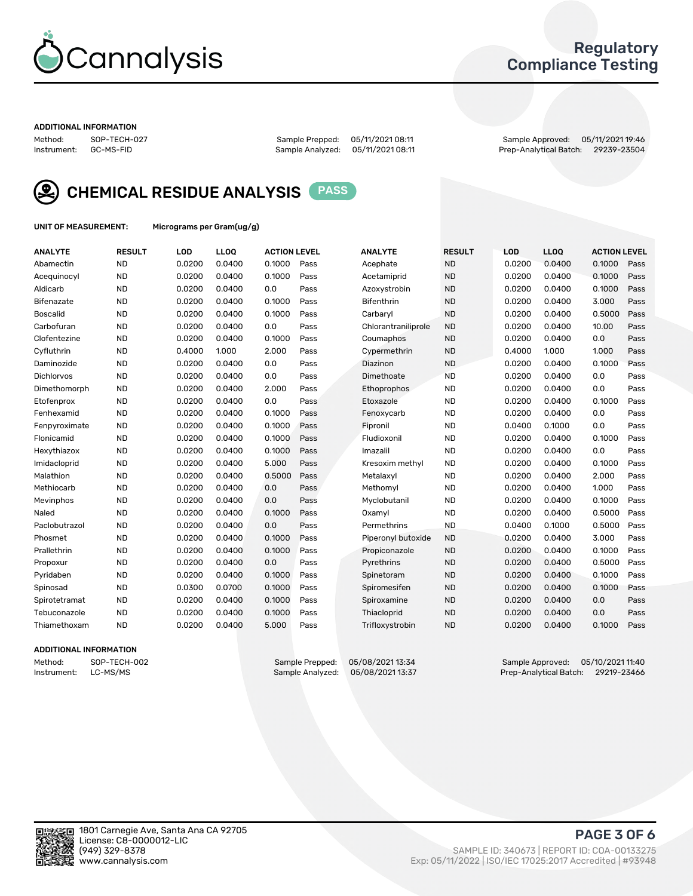

## Regulatory Compliance Testing

#### ADDITIONAL INFORMATION

Method: SOP-TECH-027 Sample Prepped: 05/11/2021 08:11 Sample Approved: 05/11/2021 19:46 Prep-Analytical Batch: 29239-23504



CHEMICAL RESIDUE ANALYSIS PASS

UNIT OF MEASUREMENT: Micrograms per Gram(ug/g)

| <b>ANALYTE</b>    | <b>RESULT</b> | LOD    | <b>LLOQ</b> | <b>ACTION LEVEL</b> |      | <b>ANALYTE</b>      | <b>RESULT</b> | <b>LOD</b> | <b>LLOQ</b> | <b>ACTION LEVEL</b> |      |
|-------------------|---------------|--------|-------------|---------------------|------|---------------------|---------------|------------|-------------|---------------------|------|
| Abamectin         | <b>ND</b>     | 0.0200 | 0.0400      | 0.1000              | Pass | Acephate            | <b>ND</b>     | 0.0200     | 0.0400      | 0.1000              | Pass |
| Acequinocyl       | <b>ND</b>     | 0.0200 | 0.0400      | 0.1000              | Pass | Acetamiprid         | <b>ND</b>     | 0.0200     | 0.0400      | 0.1000              | Pass |
| Aldicarb          | <b>ND</b>     | 0.0200 | 0.0400      | 0.0                 | Pass | Azoxystrobin        | <b>ND</b>     | 0.0200     | 0.0400      | 0.1000              | Pass |
| Bifenazate        | <b>ND</b>     | 0.0200 | 0.0400      | 0.1000              | Pass | <b>Bifenthrin</b>   | <b>ND</b>     | 0.0200     | 0.0400      | 3.000               | Pass |
| <b>Boscalid</b>   | <b>ND</b>     | 0.0200 | 0.0400      | 0.1000              | Pass | Carbarvl            | <b>ND</b>     | 0.0200     | 0.0400      | 0.5000              | Pass |
| Carbofuran        | <b>ND</b>     | 0.0200 | 0.0400      | 0.0                 | Pass | Chlorantraniliprole | <b>ND</b>     | 0.0200     | 0.0400      | 10.00               | Pass |
| Clofentezine      | <b>ND</b>     | 0.0200 | 0.0400      | 0.1000              | Pass | Coumaphos           | <b>ND</b>     | 0.0200     | 0.0400      | 0.0                 | Pass |
| Cyfluthrin        | <b>ND</b>     | 0.4000 | 1.000       | 2.000               | Pass | Cypermethrin        | <b>ND</b>     | 0.4000     | 1.000       | 1.000               | Pass |
| Daminozide        | <b>ND</b>     | 0.0200 | 0.0400      | 0.0                 | Pass | Diazinon            | <b>ND</b>     | 0.0200     | 0.0400      | 0.1000              | Pass |
| <b>Dichlorvos</b> | <b>ND</b>     | 0.0200 | 0.0400      | 0.0                 | Pass | Dimethoate          | <b>ND</b>     | 0.0200     | 0.0400      | 0.0                 | Pass |
| Dimethomorph      | <b>ND</b>     | 0.0200 | 0.0400      | 2.000               | Pass | <b>Ethoprophos</b>  | <b>ND</b>     | 0.0200     | 0.0400      | 0.0                 | Pass |
| Etofenprox        | <b>ND</b>     | 0.0200 | 0.0400      | 0.0                 | Pass | Etoxazole           | <b>ND</b>     | 0.0200     | 0.0400      | 0.1000              | Pass |
| Fenhexamid        | <b>ND</b>     | 0.0200 | 0.0400      | 0.1000              | Pass | Fenoxycarb          | <b>ND</b>     | 0.0200     | 0.0400      | 0.0                 | Pass |
| Fenpyroximate     | <b>ND</b>     | 0.0200 | 0.0400      | 0.1000              | Pass | Fipronil            | <b>ND</b>     | 0.0400     | 0.1000      | 0.0                 | Pass |
| Flonicamid        | <b>ND</b>     | 0.0200 | 0.0400      | 0.1000              | Pass | Fludioxonil         | <b>ND</b>     | 0.0200     | 0.0400      | 0.1000              | Pass |
| Hexythiazox       | <b>ND</b>     | 0.0200 | 0.0400      | 0.1000              | Pass | Imazalil            | <b>ND</b>     | 0.0200     | 0.0400      | 0.0                 | Pass |
| Imidacloprid      | <b>ND</b>     | 0.0200 | 0.0400      | 5.000               | Pass | Kresoxim methyl     | <b>ND</b>     | 0.0200     | 0.0400      | 0.1000              | Pass |
| Malathion         | <b>ND</b>     | 0.0200 | 0.0400      | 0.5000              | Pass | Metalaxyl           | <b>ND</b>     | 0.0200     | 0.0400      | 2.000               | Pass |
| Methiocarb        | <b>ND</b>     | 0.0200 | 0.0400      | 0.0                 | Pass | Methomyl            | <b>ND</b>     | 0.0200     | 0.0400      | 1.000               | Pass |
| Mevinphos         | <b>ND</b>     | 0.0200 | 0.0400      | 0.0                 | Pass | Myclobutanil        | <b>ND</b>     | 0.0200     | 0.0400      | 0.1000              | Pass |
| Naled             | <b>ND</b>     | 0.0200 | 0.0400      | 0.1000              | Pass | Oxamyl              | <b>ND</b>     | 0.0200     | 0.0400      | 0.5000              | Pass |
| Paclobutrazol     | <b>ND</b>     | 0.0200 | 0.0400      | 0.0                 | Pass | Permethrins         | <b>ND</b>     | 0.0400     | 0.1000      | 0.5000              | Pass |
| Phosmet           | <b>ND</b>     | 0.0200 | 0.0400      | 0.1000              | Pass | Piperonyl butoxide  | <b>ND</b>     | 0.0200     | 0.0400      | 3.000               | Pass |
| Prallethrin       | <b>ND</b>     | 0.0200 | 0.0400      | 0.1000              | Pass | Propiconazole       | <b>ND</b>     | 0.0200     | 0.0400      | 0.1000              | Pass |
| Propoxur          | <b>ND</b>     | 0.0200 | 0.0400      | 0.0                 | Pass | Pyrethrins          | <b>ND</b>     | 0.0200     | 0.0400      | 0.5000              | Pass |
| Pyridaben         | <b>ND</b>     | 0.0200 | 0.0400      | 0.1000              | Pass | Spinetoram          | <b>ND</b>     | 0.0200     | 0.0400      | 0.1000              | Pass |
| Spinosad          | <b>ND</b>     | 0.0300 | 0.0700      | 0.1000              | Pass | Spiromesifen        | <b>ND</b>     | 0.0200     | 0.0400      | 0.1000              | Pass |
| Spirotetramat     | <b>ND</b>     | 0.0200 | 0.0400      | 0.1000              | Pass | Spiroxamine         | <b>ND</b>     | 0.0200     | 0.0400      | 0.0                 | Pass |
| Tebuconazole      | <b>ND</b>     | 0.0200 | 0.0400      | 0.1000              | Pass | Thiacloprid         | <b>ND</b>     | 0.0200     | 0.0400      | 0.0                 | Pass |
| Thiamethoxam      | <b>ND</b>     | 0.0200 | 0.0400      | 5.000               | Pass | Trifloxystrobin     | <b>ND</b>     | 0.0200     | 0.0400      | 0.1000              | Pass |
|                   |               |        |             |                     |      |                     |               |            |             |                     |      |

### ADDITIONAL INFORMATION

Method: SOP-TECH-002 Sample Prepped: 05/08/202113:34 Sample Approved: 05/10/2021 11:40<br>Instrument: LC-MS/MS Sample Analyzed: 05/08/202113:37 Prep-Analytical Batch: 29219-23466 Prep-Analytical Batch: 29219-23466

PAGE 3 OF 6

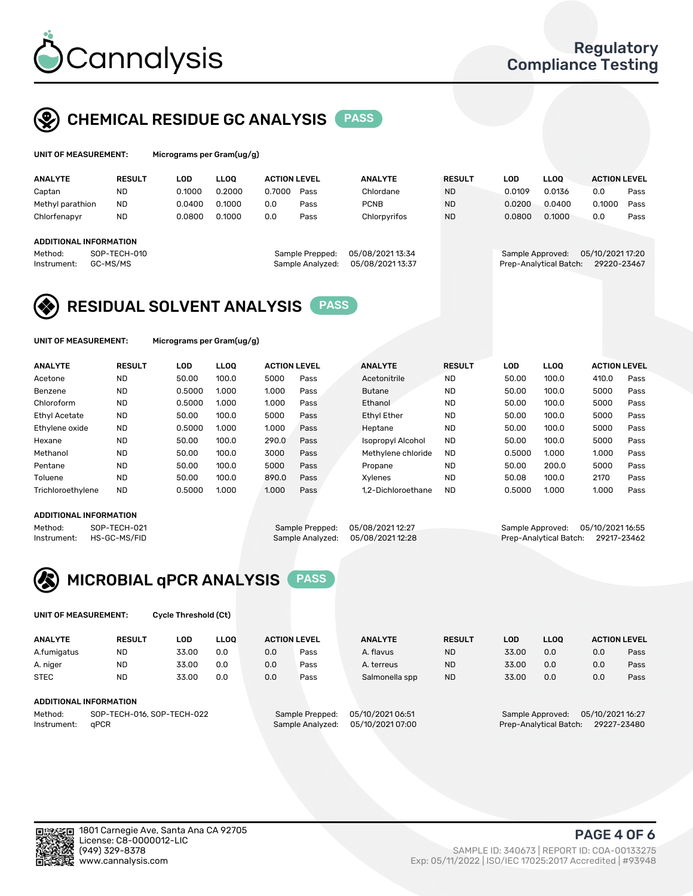

## CHEMICAL RESIDUE GC ANALYSIS PASS

| UNIT OF MEASUREMENT: | Mi |
|----------------------|----|
|                      |    |

crograms per Gram(ug/g)

| <b>ANALYTE</b>         | <b>RESULT</b> | <b>LOD</b> | <b>LLOO</b> | <b>ACTION LEVEL</b> |                  | <b>ANALYTE</b>  | <b>RESULT</b> | LOD              | <b>LLOO</b>            | <b>ACTION LEVEL</b> |      |
|------------------------|---------------|------------|-------------|---------------------|------------------|-----------------|---------------|------------------|------------------------|---------------------|------|
| Captan                 | <b>ND</b>     | 0.1000     | 0.2000      | 0.7000              | Pass             | Chlordane       | <b>ND</b>     | 0.0109           | 0.0136                 | 0.0                 | Pass |
| Methyl parathion       | <b>ND</b>     | 0.0400     | 0.1000      | 0.0                 | Pass             | <b>PCNB</b>     | <b>ND</b>     | 0.0200           | 0.0400                 | 0.1000              | Pass |
| Chlorfenapyr           | <b>ND</b>     | 0.0800     | 0.1000      | 0.0                 | Pass             | Chlorpyrifos    | <b>ND</b>     | 0.0800           | 0.1000                 | 0.0                 | Pass |
|                        |               |            |             |                     |                  |                 |               |                  |                        |                     |      |
| ADDITIONAL INFORMATION |               |            |             |                     |                  |                 |               |                  |                        |                     |      |
| Method:                | SOP-TECH-010  |            |             |                     | Sample Prepped:  | 05/08/202113:34 |               | Sample Approved: |                        | 05/10/2021 17:20    |      |
| Instrument:            | GC-MS/MS      |            |             |                     | Sample Analyzed: | 05/08/202113:37 |               |                  | Prep-Analytical Batch: | 29220-23467         |      |

## RESIDUAL SOLVENT ANALYSIS PASS

UNIT OF MEASUREMENT: Micrograms per Gram(ug/g)

| <b>ANALYTE</b>    | <b>RESULT</b> | LOD    | <b>LLOO</b> | <b>ACTION LEVEL</b> |      | <b>ANALYTE</b>           | <b>RESULT</b> | LOD    | LLOO  | <b>ACTION LEVEL</b> |      |
|-------------------|---------------|--------|-------------|---------------------|------|--------------------------|---------------|--------|-------|---------------------|------|
| Acetone           | <b>ND</b>     | 50.00  | 100.0       | 5000                | Pass | Acetonitrile             | <b>ND</b>     | 50.00  | 100.0 | 410.0               | Pass |
| Benzene           | <b>ND</b>     | 0.5000 | 1.000       | 1.000               | Pass | <b>Butane</b>            | <b>ND</b>     | 50.00  | 100.0 | 5000                | Pass |
| Chloroform        | <b>ND</b>     | 0.5000 | 1.000       | 1.000               | Pass | Ethanol                  | <b>ND</b>     | 50.00  | 100.0 | 5000                | Pass |
| Ethyl Acetate     | <b>ND</b>     | 50.00  | 100.0       | 5000                | Pass | <b>Ethyl Ether</b>       | <b>ND</b>     | 50.00  | 100.0 | 5000                | Pass |
| Ethylene oxide    | <b>ND</b>     | 0.5000 | 1.000       | 1.000               | Pass | Heptane                  | <b>ND</b>     | 50.00  | 100.0 | 5000                | Pass |
| Hexane            | <b>ND</b>     | 50.00  | 100.0       | 290.0               | Pass | <b>Isopropyl Alcohol</b> | <b>ND</b>     | 50.00  | 100.0 | 5000                | Pass |
| Methanol          | <b>ND</b>     | 50.00  | 100.0       | 3000                | Pass | Methylene chloride       | <b>ND</b>     | 0.5000 | 1.000 | 1.000               | Pass |
| Pentane           | <b>ND</b>     | 50.00  | 100.0       | 5000                | Pass | Propane                  | <b>ND</b>     | 50.00  | 200.0 | 5000                | Pass |
| Toluene           | <b>ND</b>     | 50.00  | 100.0       | 890.0               | Pass | Xvlenes                  | <b>ND</b>     | 50.08  | 100.0 | 2170                | Pass |
| Trichloroethylene | <b>ND</b>     | 0.5000 | 1.000       | 1.000               | Pass | 1.2-Dichloroethane       | <b>ND</b>     | 0.5000 | 1.000 | 1.000               | Pass |

#### ADDITIONAL INFORMATION

Method: SOP-TECH-021 Sample Prepped: 05/08/2021 12:27 Sample Approved: 05/10/2021 16:55<br>Sample Analyzed: 05/08/2021 12:28 Prep-Analytical Batch: 29217-23462 Prep-Analytical Batch: 29217-23462



UNIT OF MEASUREMENT: Cycle Threshold (Ct)

| <b>ANALYTE</b> | <b>RESULT</b>                 | LOD   | <b>LLOO</b> |     | <b>ACTION LEVEL</b> | <b>ANALYTE</b>   | <b>RESULT</b> | <b>LOD</b> | <b>LLOO</b>      |                  | <b>ACTION LEVEL</b> |
|----------------|-------------------------------|-------|-------------|-----|---------------------|------------------|---------------|------------|------------------|------------------|---------------------|
| A.fumigatus    | <b>ND</b>                     | 33.00 | 0.0         | 0.0 | Pass                | A. flavus        | <b>ND</b>     | 33.00      | 0.0              | 0.0              | Pass                |
| A. niger       | <b>ND</b>                     | 33.00 | 0.0         | 0.0 | Pass                | A. terreus       | <b>ND</b>     | 33.00      | 0.0              | 0.0              | Pass                |
| <b>STEC</b>    | <b>ND</b>                     | 33.00 | 0.0         | 0.0 | Pass                | Salmonella spp   | <b>ND</b>     | 33.00      | 0.0              | 0.0              | Pass                |
|                | <b>ADDITIONAL INFORMATION</b> |       |             |     |                     |                  |               |            |                  |                  |                     |
| Method:        | SOP-TECH-016, SOP-TECH-022    |       |             |     | Sample Prepped:     | 05/10/2021 06:51 |               |            | Sample Approved: | 05/10/2021 16:27 |                     |

Instrument: qPCR Sample Analyzed: 05/10/2021 07:00 Prep-Analytical Batch: 29227-23480



(949) 329-8378 SAMPLE ID: 340673 | REPORT ID: COA-00133275 Exp: 05/11/2022 | ISO/IEC 17025:2017 Accredited | #93948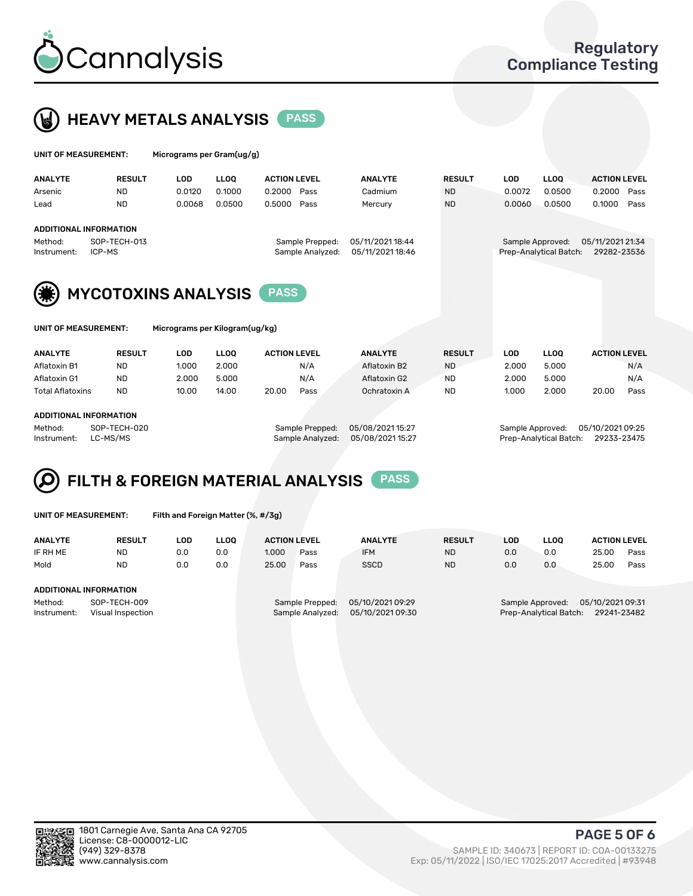



| UNIT OF MEASUREMENT:   |                            | Micrograms per Gram(ug/g) |             |                                     |                                      |               |            |                                            |                                 |      |
|------------------------|----------------------------|---------------------------|-------------|-------------------------------------|--------------------------------------|---------------|------------|--------------------------------------------|---------------------------------|------|
| <b>ANALYTE</b>         | <b>RESULT</b>              | <b>LOD</b>                | <b>LLOO</b> | <b>ACTION LEVEL</b>                 | <b>ANALYTE</b>                       | <b>RESULT</b> | <b>LOD</b> | <b>LLOO</b>                                | <b>ACTION LEVEL</b>             |      |
| Arsenic                | <b>ND</b>                  | 0.0120                    | 0.1000      | 0.2000<br>Pass                      | Cadmium                              | <b>ND</b>     | 0.0072     | 0.0500                                     | 0.2000                          | Pass |
| Lead                   | <b>ND</b>                  | 0.0068                    | 0.0500      | 0.5000<br>Pass                      | Mercury                              | <b>ND</b>     | 0.0060     | 0.0500                                     | 0.1000                          | Pass |
|                        | ADDITIONAL INFORMATION     |                           |             |                                     |                                      |               |            |                                            |                                 |      |
| Method:<br>Instrument: | SOP-TECH-013<br>ICP-MS     |                           |             | Sample Prepped:<br>Sample Analyzed: | 05/11/2021 18:44<br>05/11/2021 18:46 |               |            | Sample Approved:<br>Prep-Analytical Batch: | 05/11/2021 21:34<br>29282-23536 |      |
| (☀                     | <b>MYCOTOXINS ANALYSIS</b> |                           |             | <b>PASS</b>                         |                                      |               |            |                                            |                                 |      |



UNIT OF MEASUREMENT: Micrograms per Kilogram(ug/kg)

| <b>ANALYTE</b>          | <b>RESULT</b> | LOD   | <b>LLOO</b> | <b>ACTION LEVEL</b> |      | <b>ANALYTE</b> | <b>RESULT</b> | LOD   | <b>LLOO</b> | <b>ACTION LEVEL</b> |      |
|-------------------------|---------------|-------|-------------|---------------------|------|----------------|---------------|-------|-------------|---------------------|------|
| Aflatoxin B1            | <b>ND</b>     | 1.000 | 2.000       |                     | N/A  | Aflatoxin B2   | <b>ND</b>     | 2.000 | 5.000       |                     | N/A  |
| Aflatoxin G1            | <b>ND</b>     | 2.000 | 5.000       |                     | N/A  | Aflatoxin G2   | <b>ND</b>     | 2.000 | 5.000       |                     | N/A  |
| <b>Total Aflatoxins</b> | <b>ND</b>     | 10.00 | 14.00       | 20.00               | Pass | Ochratoxin A   | <b>ND</b>     | 1.000 | 2.000       | 20.00               | Pass |
|                         |               |       |             |                     |      |                |               |       |             |                     |      |
| ADDITIONAL INCODMATION  |               |       |             |                     |      |                |               |       |             |                     |      |

#### ADDITIONAL INFORMATION

Method: SOP-TECH-020 Sample Prepped: 05/08/2021 15:27 Sample Approved: 05/10/2021 09:25 Instrument: LC-MS/MS Sample Analyzed: 05/08/2021 15:27 Prep-Analytical Batch: 29233-23475

# FILTH & FOREIGN MATERIAL ANALYSIS PASS

UNIT OF MEASUREMENT: Filth and Foreign Matter (%, #/3g)

| <b>ANALYTE</b>                                              | <b>RESULT</b> | LOD. | <b>LLOO</b> | <b>ACTION LEVEL</b> |                                     | <b>ANALYTE</b>                       | <b>RESULT</b>                                                                 | LOD | <b>LLOO</b> | <b>ACTION LEVEL</b> |      |
|-------------------------------------------------------------|---------------|------|-------------|---------------------|-------------------------------------|--------------------------------------|-------------------------------------------------------------------------------|-----|-------------|---------------------|------|
| IF RH ME                                                    | <b>ND</b>     | 0.0  | 0.0         | 1.000               | Pass                                | <b>IFM</b>                           | <b>ND</b>                                                                     | 0.0 | 0.0         | 25.00               | Pass |
| Mold                                                        | <b>ND</b>     | 0.0  | 0.0         | 25.00               | Pass                                | <b>SSCD</b>                          | <b>ND</b>                                                                     | 0.0 | 0.0         | 25.00               | Pass |
| ADDITIONAL INFORMATION                                      |               |      |             |                     |                                     |                                      |                                                                               |     |             |                     |      |
| Method:<br>SOP-TECH-009<br>Instrument:<br>Visual Inspection |               |      |             |                     | Sample Prepped:<br>Sample Analyzed: | 05/10/2021 09:29<br>05/10/2021 09:30 | 05/10/2021 09:31<br>Sample Approved:<br>Prep-Analytical Batch:<br>29241-23482 |     |             |                     |      |